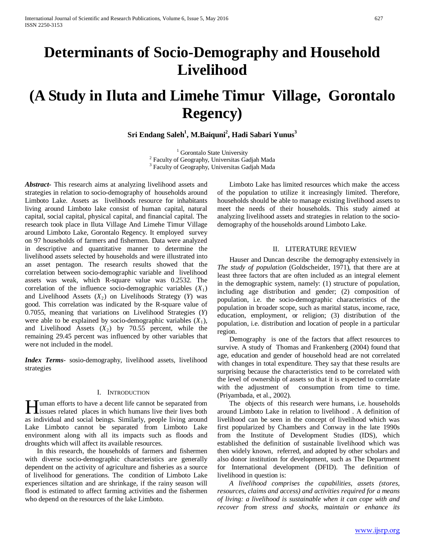# **Determinants of Socio-Demography and Household Livelihood**

# **(A Study in Iluta and Limehe Timur Village, Gorontalo Regency)**

**Sri Endang Saleh1 , M.Baiquni2 , Hadi Sabari Yunus<sup>3</sup>**

<sup>1</sup> Gorontalo State University<br><sup>2</sup> Faculty of Geography, Universitas Gadjah Mada <sup>3</sup> Faculty of Geography, Universitas Gadjah Mada

*Abstract***-** This research aims at analyzing livelihood assets and strategies in relation to socio-demography of households around Limboto Lake. Assets as livelihoods resource for inhabitants living around Limboto lake consist of human capital, natural capital, social capital, physical capital, and financial capital. The research took place in Iluta Village And Limehe Timur Village around Limboto Lake, Gorontalo Regency. It employed survey on 97 households of farmers and fishermen. Data were analyzed in descriptive and quantitative manner to determine the livelihood assets selected by households and were illustrated into an asset pentagon. The research results showed that the correlation between socio-demographic variable and livelihood assets was weak, which R-square value was 0.2532. The correlation of the influence socio-demographic variables  $(X_1)$ and Livelihood Assets  $(X_2)$  on Livelihoods Strategy  $(Y)$  was good. This correlation was indicated by the R-square value of 0.7055, meaning that variations on Livelihood Strategies (*Y*) were able to be explained by socio-demographic variables  $(X_1)$ , and Livelihood Assets  $(X_2)$  by 70.55 percent, while the remaining 29.45 percent was influenced by other variables that were not included in the model.

*Index Terms*- sosio-demography, livelihood assets, livelihood strategies

# I. INTRODUCTION

**Tuman** efforts to have a decent life cannot be separated from I uman efforts to have a decent life cannot be separated from<br>issues related places in which humans live their lives both<br>in the line of the line of the line of the line as individual and social beings. Similarly, people living around Lake Limboto cannot be separated from Limboto Lake environment along with all its impacts such as floods and droughts which will affect its available resources.

 In this research, the households of farmers and fishermen with diverse socio-demographic characteristics are generally dependent on the activity of agriculture and fisheries as a source of livelihood for generations. The condition of Limboto Lake experiences siltation and are shrinkage, if the rainy season will flood is estimated to affect farming activities and the fishermen who depend on the resources of the lake Limboto.

 Limboto Lake has limited resources which make the access of the population to utilize it increasingly limited. Therefore, households should be able to manage existing livelihood assets to meet the needs of their households. This study aimed at analyzing livelihood assets and strategies in relation to the sociodemography of the households around Limboto Lake.

### II. LITERATURE REVIEW

 Hauser and Duncan describe the demography extensively in *The study of population* (Goldscheider, 1971), that there are at least three factors that are often included as an integral element in the demographic system, namely: (1) structure of population, including age distribution and gender; (2) composition of population, i.e. the socio-demographic characteristics of the population in broader scope, such as marital status, income, race, education, employment, or religion; (3) distribution of the population, i.e. distribution and location of people in a particular region.

 Demography is one of the factors that affect resources to survive. A study of Thomas and Frankenberg (2004) found that age, education and gender of household head are not correlated with changes in total expenditure. They say that these results are surprising because the characteristics tend to be correlated with the level of ownership of assets so that it is expected to correlate with the adjustment of consumption from time to time. (Priyambada, et al., 2002).

 The objects of this research were humans, i.e. households around Limboto Lake in relation to livelihood . A definition of livelihood can be seen in the concept of livelihood which was first popularized by Chambers and Conway in the late 1990s from the Institute of Development Studies (IDS), which established the definition of sustainable livelihood which was then widely known, referred, and adopted by other scholars and also donor institution for development, such as The Department for International development (DFID). The definition of livelihood in question is:

 *A livelihood comprises the capabilities, assets (stores, resources, claims and access) and activities required for a means of living: a livelihood is sustainable when it can cope with and recover from stress and shocks, maintain or enhance its*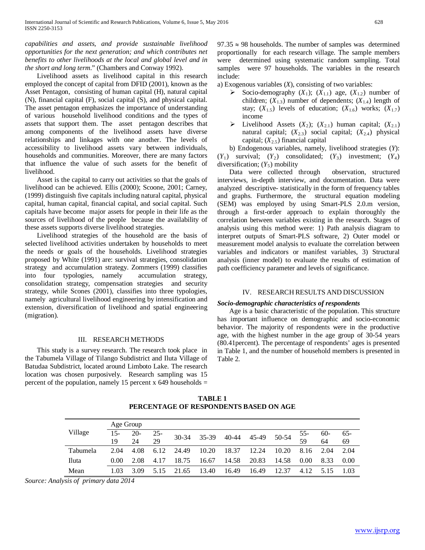*capabilities and assets, and provide sustainable livelihood opportunities for the next generation; and which contributes net benefits to other livelihoods at the local and global level and in the short and long term*." (Chambers and Conway 1992).

 Livelihood assets as livelihood capital in this research employed the concept of capital from DFID (2001), known as the Asset Pentagon, consisting of human capital (H), natural capital (N), financial capital (F), social capital (S), and physical capital. The asset pentagon emphasizes the importance of understanding of various household livelihood conditions and the types of assets that support them. The asset pentagon describes that among components of the livelihood assets have diverse relationships and linkages with one another. The levels of accessibility to livelihood assets vary between individuals, households and communities. Moreover, there are many factors that influence the value of such assets for the benefit of livelihood.

 Asset is the capital to carry out activities so that the goals of livelihood can be achieved. Ellis (2000); Scoone, 2001; Carney, (1999) distinguish five capitals including natural capital, physical capital, human capital, financial capital, and social capital. Such capitals have become major assets for people in their life as the sources of livelihood of the people because the availability of these assets supports diverse livelihood strategies.

 Livelihood strategies of the household are the basis of selected livelihood activities undertaken by households to meet the needs or goals of the households. Livelihood strategies proposed by White (1991) are: survival strategies, consolidation strategy and accumulation strategy. Zommers (1999) classifies into four typologies, namely accumulation strategy, consolidation strategy, compensation strategies and security strategy, while Scones (2001), classifies into three typologies, namely agricultural livelihood engineering by intensification and extension, diversification of livelihood and spatial engineering (migration).

# III. RESEARCH METHODS

 This study is a survey research. The research took place in the Tabumela Village of Tilango Subdistrict and Iluta Village of Batudaa Subdistrict, located around Limboto Lake. The research location was chosen purposively. Research sampling was 15 percent of the population, namely 15 percent x 649 households  $=$ 

 $97.35 \approx 98$  households. The number of samples was determined proportionally for each research village. The sample members were determined using systematic random sampling. Total samples were 97 households. The variables in the research include:

a) Exogenous variables (*X*), consisting of two variables:

- Socio-demography  $(X_1)$ ;  $(X_{1,1})$  age,  $(X_{1,2})$  number of children;  $(X_{1,3})$  number of dependents;  $(X_{1,4})$  length of stay;  $(X_{1.5})$  levels of education;  $(X_{1.6})$  works;  $(X_{1.7})$ income
- $\triangleright$  Livelihood Assets (*X*<sub>2</sub>); (*X*<sub>2.1</sub>) human capital; (*X*<sub>2.1</sub>) natural capital;  $(X_{2,3})$  social capital;  $(X_{2,4})$  physical capital; (*X*2.5) financial capital

 b) Endogenous variables, namely, livelihood strategies (*Y*):  $(Y_1)$  survival;  $(Y_2)$  consolidated;  $(Y_3)$  investment;  $(Y_4)$ diversification;  $(Y_5)$  mobility

 Data were collected through observation, structured interviews, in-depth interview, and documentation. Data were analyzed descriptive- statistically in the form of frequency tables and graphs. Furthermore, the structural equation modeling (SEM) was employed by using Smart-PLS 2.0.m version, through a first-order approach to explain thoroughly the correlation between variables existing in the research. Stages of analysis using this method were: 1) Path analysis diagram to interpret outputs of Smart-PLS software, 2) Outer model or measurement model analysis to evaluate the correlation between variables and indicators or manifest variables, 3) Structural analysis (inner model) to evaluate the results of estimation of path coefficiency parameter and levels of significance.

#### IV. RESEARCH RESULTS AND DISCUSSION

#### *Socio-demographic characteristics of respondents*

 Age is a basic characteristic of the population. This structure has important influence on demographic and socio-economic behavior. The majority of respondents were in the productive age, with the highest number in the age group of 30-54 years (80.41percent). The percentage of respondents' ages is presented in Table 1, and the number of household members is presented in Table 2.

**TABLE 1 PERCENTAGE OF RESPONDENTS BASED ON AGE**

| Village  |              | Age Group   |              |           |       |       |             |       |             |              |              |
|----------|--------------|-------------|--------------|-----------|-------|-------|-------------|-------|-------------|--------------|--------------|
|          | $15 -$<br>19 | $20-$<br>24 | $25 -$<br>29 | $30 - 34$ | 35-39 | 40-44 | 45-49 50-54 |       | $55-$<br>59 | $60 -$<br>64 | $65 -$<br>69 |
| Tabumela | 2.04         | 4.08        | 6.12         | 24.49     | 10.20 | 18.37 | 12.24       | 10.20 | 8.16        | 2.04         | 2.04         |
|          |              |             |              |           |       |       |             |       |             |              |              |
| Iluta    | 0.00         | 2.08        | 4.17         | 18.75     | 16.67 | 14.58 | 20.83       | 14.58 | 0.00        | 8.33         | 0.00         |
| Mean     | 1.03         | 3.09        | 5.15         | 21.65     | 13.40 | 16.49 | 16.49       | 12.37 | 4.12        | 5.15         | 1.03         |

*Source: Analysis of primary data 2014*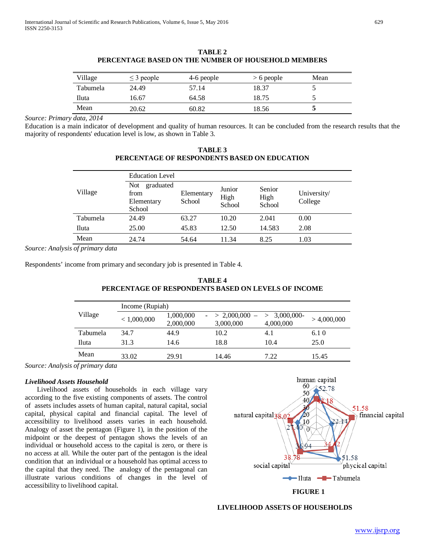| Village         | $\leq$ 3 people | 4-6 people | $> 6$ people | Mean |
|-----------------|-----------------|------------|--------------|------|
| <b>Tabumela</b> | 24.49           | 57.14      | 18.37        |      |
| Iluta           | 16.67           | 64.58      | 18.75        |      |
| Mean            | 20.62           | 60.82      | 18.56        |      |

**TABLE 2 PERCENTAGE BASED ON THE NUMBER OF HOUSEHOLD MEMBERS**

*Source: Primary data, 2014*

Education is a main indicator of development and quality of human resources. It can be concluded from the research results that the majority of respondents' education level is low, as shown in Table 3.

**TABLE 3 PERCENTAGE OF RESPONDENTS BASED ON EDUCATION**

|          | <b>Education Level</b>                                  |                      |                          |                          |                        |  |  |
|----------|---------------------------------------------------------|----------------------|--------------------------|--------------------------|------------------------|--|--|
| Village  | <b>Not</b><br>graduated<br>from<br>Elementary<br>School | Elementary<br>School | Junior<br>High<br>School | Senior<br>High<br>School | University/<br>College |  |  |
| Tabumela | 24.49                                                   | 63.27                | 10.20                    | 2.041                    | 0.00                   |  |  |
| Iluta    | 25.00                                                   | 45.83                | 12.50                    | 14.583                   | 2.08                   |  |  |
| Mean     | 24.74                                                   | 54.64                | 11.34                    | 8.25                     | 1.03                   |  |  |

*Source: Analysis of primary data*

Respondents' income from primary and secondary job is presented in Table 4.

# **TABLE 4 PERCENTAGE OF RESPONDENTS BASED ON LEVELS OF INCOME**

| Village  | Income (Rupiah) |                        |                              |                          |             |  |  |  |
|----------|-----------------|------------------------|------------------------------|--------------------------|-------------|--|--|--|
|          | < 1,000,000     | 1,000,000<br>2,000,000 | $-$ > 2,000,000<br>3,000,000 | > 3,000,000<br>4,000,000 | > 4,000,000 |  |  |  |
| Tabumela | 34.7            | 44.9                   | 10.2                         | 4.1                      | 6.10        |  |  |  |
| Iluta    | 31.3            | 14.6                   | 18.8                         | 10.4                     | 25.0        |  |  |  |
| Mean     | 33.02           | 29.91                  | 14.46                        | 7.22                     | 15.45       |  |  |  |

*Source: Analysis of primary data*

# *Livelihood Assets Household*

 Livelihood assets of households in each village vary according to the five existing components of assets. The control of assets includes assets of human capital, natural capital, social capital, physical capital and financial capital. The level of accessibility to livelihood assets varies in each household. Analogy of asset the pentagon (Figure 1), in the position of the midpoint or the deepest of pentagon shows the levels of an individual or household access to the capital is zero, or there is no access at all. While the outer part of the pentagon is the ideal condition that an individual or a household has optimal access to the capital that they need. The analogy of the pentagonal can illustrate various conditions of changes in the level of accessibility to livelihood capital. **FIGURE 1**



# **LIVELIHOOD ASSETS OF HOUSEHOLDS**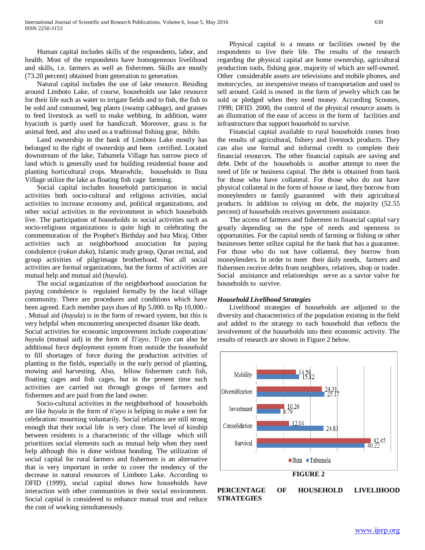Human capital includes skills of the respondents, labor, and health. Most of the respondents have homogeneous livelihood and skills, i.e. farmers as well as fishermen. Skills are mostly (73.20 percent) obtained from generation to generation.

 Natural capital includes the use of lake resource. Residing around Limboto Lake, of course, households use lake resource for their life such as water to irrigate fields and to fish, the fish to be sold and consumed, bog plants (swamp cabbage), and grasses to feed livestock as well to make webbing. In addition, water hyacinth is partly used for handicraft. Moreover, grass is for animal feed, and also used as a traditional fishing gear, *bibilo*.

 Land ownership in the bank of Limboto Lake mostly has belonged to the right of ownership and been certified. Located downstream of the lake, Tabumela Village has narrow piece of land which is generally used for building residential house and planting horticultural crops. Meanwhile, households in Iluta Village utilize the lake as floating fish cage farming.

 Social capital includes household participation in social activities both socio-cultural and religious activities, social activities to increase economy and, political organizations, and other social activities in the environment in which households live. The participation of households in social activities such as socio-religious organizations is quite high in celebrating the commemoration of the Prophet's Birthday and Isra Miraj. Other activities such as neighborhood association for paying condolence (*rukun duka*), Islamic study group, Quran recital, and group activities of pilgrimage brotherhood. Not all social activities are formal organizations, but the forms of activities are mutual help and mutual aid (*huyula*).

 The social organization of the neighborhood association for paying condolence is regulated formally by the local village community. There are procedures and conditions which have been agreed. Each member pays dues of Rp 5,000. to Rp 10,000.- . Mutual aid (*huyula*) is in the form of reward system, but this is very helpful when encountering unexpected disaster like death.

Social activities for economic improvement include cooperation/ *huyula* (mutual aid) in the form of *Ti'ayo*. *Ti'ayo* can also be additional force deployment system from outside the household to fill shortages of force during the production activities of planting in the fields, especially in the early period of planting, mowing and harvesting. Also, fellow fishermen catch fish, floating cages and fish cages, but in the present time such activities are carried out through groups of farmers and fishermen and are paid from the land owner.

 Socio-cultural activities in the neighborhood of households are like *huyula* in the form of *ti'ayo* is helping to make a tent for celebration/ mourning voluntarily. Social relations are still strong enough that their social life is very close. The level of kinship between residents is a characteristic of the village which still prioritizes social elements such as mutual help when they need help although this is done without bonding. The utilization of social capital for rural farmers and fishermen is an alternative that is very important in order to cover the tendency of the decrease in natural resources of Limboto Lake. According to DFID (1999), social capital shows how households have interaction with other communities in their social environment. Social capital is considered to enhance mutual trust and reduce the cost of working simultaneously.

 Physical capital is a means or facilities owned by the respondents to live their life. The results of the research regarding the physical capital are home ownership, agricultural production tools, fishing gear, majority of which are self-owned. Other considerable assets are televisions and mobile phones, and motorcycles, an inexpensive means of transportation and used to sell around. Gold is owned in the form of jewelry which can be sold or pledged when they need money. According Scoones, 1998; DFID. 2000, the control of the physical resource assets is an illustration of the ease of access in the form of facilities and infrastructure that support household to survive.

 Financial capital available to rural households comes from the results of agricultural, fishery and livestock products. They can also use formal and informal credit to complete their financial resources. The other financial capitals are saving and debt. Debt of the households is another attempt to meet the need of life or business capital. The debt is obtained from bank for those who have collateral. For those who do not have physical collateral in the form of house or land, they borrow from moneylenders or family guaranteed with their agricultural products. In addition to relying on debt, the majority (52.55 percent) of households receives government assistance.

 The access of farmers and fishermen to financial capital vary greatly depending on the type of needs and openness to opportunities. For the capital needs of farming or fishing or other businesses better utilize capital for the bank that has a guarantee. For those who do not have collateral, they borrow from moneylenders. In order to meet their daily needs, farmers and fishermen receive debts from neighbors, relatives, shop or trader. Social assistance and relationships serve as a savior valve for households to survive.

#### *Household Livelihood Strategies*

 Livelihood strategies of households are adjusted to the diversity and characteristics of the population existing in the field and added to the strategy to each household that reflects the involvement of the households into their economic activity. The results of research are shown in Figure 2 below.

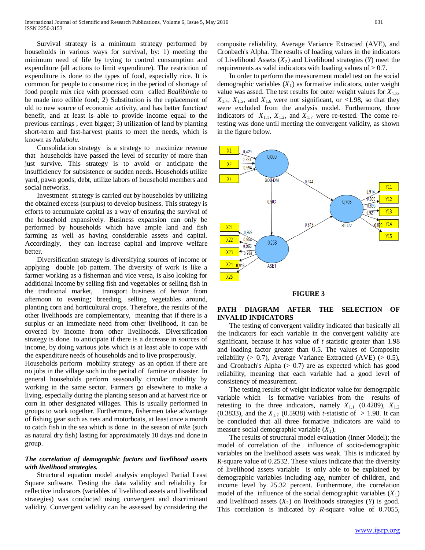Survival strategy is a minimum strategy performed by households in various ways for survival, by: 1) meeting the minimum need of life by trying to control consumption and expenditure (all actions to limit expenditure). The restriction of expenditure is done to the types of food, especially rice. It is common for people to consume rice; in the period of shortage of food people mix rice with processed corn called *Baalibinthe* to be made into edible food; 2) Substitution is the replacement of old to new source of economic activity, and has better function/ benefit, and at least is able to provide income equal to the previous earnings , even bigger; 3) utilization of land by planting short-term and fast-harvest plants to meet the needs, which is known as *halabolu*.

 Consolidation strategy is a strategy to maximize revenue that households have passed the level of security of more than just survive. This strategy is to avoid or anticipate the insufficiency for subsistence or sudden needs. Households utilize yard, pawn goods, debt, utilize labors of household members and social networks.

 Investment strategy is carried out by households by utilizing the obtained excess (surplus) to develop business. This strategy is efforts to accumulate capital as a way of ensuring the survival of the household expansively. Business expansion can only be performed by households which have ample land and fish farming as well as having considerable assets and capital. Accordingly, they can increase capital and improve welfare better.

 Diversification strategy is diversifying sources of income or applying double job pattern. The diversity of work is like a farmer working as a fisherman and vice versa, is also looking for additional income by selling fish and vegetables or selling fish in the traditional market, transport business of *bentor* from afternoon to evening; breeding, selling vegetables around, planting corn and horticultural crops. Therefore, the results of the other livelihoods are complementary, meaning that if there is a surplus or an immediate need from other livelihood, it can be covered by income from other livelihoods. Diversification strategy is done to anticipate if there is a decrease in sources of income, by doing various jobs which is at least able to cope with the expenditure needs of households and to live prosperously.

Households perform mobility strategy as an option if there are no jobs in the village such in the period of famine or disaster. In general households perform seasonally circular mobility by working in the same sector. Farmers go elsewhere to make a living, especially during the planting season and at harvest rice or corn in other designated villages. This is usually performed in groups to work together. Furthermore, fishermen take advantage of fishing gear such as nets and motorboats, at least once a month to catch fish in the sea which is done in the season of *nike* (such as natural dry fish) lasting for approximately 10 days and done in group.

# *The correlation of demographic factors and livelihood assets with livelihood strategies.*

 Structural equation model analysis employed Partial Least Square software. Testing the data validity and reliability for reflective indicators (variables of livelihood assets and livelihood strategies) was conducted using convergent and discriminant validity. Convergent validity can be assessed by considering the composite reliability, Average Variance Extracted (AVE), and Cronbach's Alpha. The results of loading values in the indicators of Livelihood Assets  $(X_2)$  and Livelihood strategies  $(Y)$  meet the requirements as valid indicators with loading values of  $> 0.7$ .

 In order to perform the measurement model test on the social demographic variables  $(X_1)$  as formative indicators, outer weight value was assed. The test results for outer weight values for  $X_{1,3}$ ,  $X_{1,4}$ ,  $X_{1,5}$ , and  $X_{1,6}$  were not significant, or <1.98, so that they were excluded from the analysis model. Furthermore, three indicators of  $X_{1,1}$ ,  $X_{1,2}$ , and  $X_{1,7}$  were re-tested. The come retesting was done until meeting the convergent validity, as shown in the figure below.



#### **FIGURE 3**

# **PATH DIAGRAM AFTER THE SELECTION OF INVALID INDICATORS**

 The testing of convergent validity indicated that basically all the indicators for each variable in the convergent validity are significant, because it has value of *t* statistic greater than 1.98 and loading factor greater than 0.5. The values of Composite reliability ( $> 0.7$ ), Average Variance Extracted (AVE) ( $> 0.5$ ), and Cronbach's Alpha  $(> 0.7)$  are as expected which has good reliability, meaning that each variable had a good level of consistency of measurement.

 The testing results of weight indicator value for demographic variable which is formative variables from the results of retesting to the three indicators, namely  $X_{1,1}$  (0.4289),  $X_{1,2}$ (0.3833), and the  $X_{1,7}$  (0.5938) with *t*-statistic of  $> 1.98$ . It can be concluded that all three formative indicators are valid to measure social demographic variable  $(X_1)$ .

 The results of structural model evaluation (Inner Model); the model of correlation of the influence of socio-demographic variables on the livelihood assets was weak. This is indicated by *R*-square value of 0.2532. These values indicate that the diversity of livelihood assets variable is only able to be explained by demographic variables including age, number of children, and income level by 25.32 percent. Furthermore, the correlation model of the influence of the social demographic variables  $(X_1)$ and livelihood assets  $(X_2)$  on livelihoods strategies  $(Y)$  is good. This correlation is indicated by *R*-square value of 0.7055,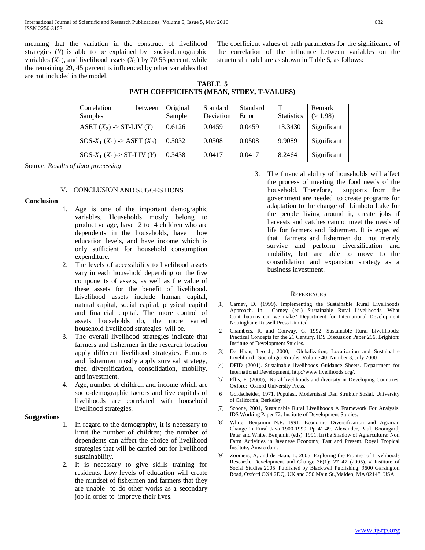meaning that the variation in the construct of livelihood strategies (*Y*) is able to be explained by socio-demographic variables  $(X_1)$ , and livelihood assets  $(X_2)$  by 70.55 percent, while the remaining 29, 45 percent is influenced by other variables that are not included in the model.

The coefficient values of path parameters for the significance of the correlation of the influence between variables on the structural model are as shown in Table 5, as follows:

| TABLE 5                                   |  |
|-------------------------------------------|--|
| PATH COEFFICIENTS (MEAN, STDEV, T-VALUES) |  |
|                                           |  |

| Correlation<br>between         | Original | Standard  | Standard | $\mathbf T$       | Remark      |
|--------------------------------|----------|-----------|----------|-------------------|-------------|
| Samples                        | Sample   | Deviation | Error    | <b>Statistics</b> | (>1,98)     |
| ASET $(X_2)$ -> ST-LIV $(Y)$   | 0.6126   | 0.0459    | 0.0459   | 13.3430           | Significant |
| $SOS-X_1(X_1)$ -> ASET $(X_2)$ | 0.5032   | 0.0508    | 0.0508   | 9.9089            | Significant |
| $SOS-X_1(X_1)$ -> ST-LIV (Y)   | 0.3438   | 0.0417    | 0.0417   | 8.2464            | Significant |

Source: *Results of data processing*

# V. CONCLUSION AND SUGGESTIONS

# **Conclusion**

- 1. Age is one of the important demographic variables. Households mostly belong to productive age, have 2 to 4 children who are dependents in the households, have low education levels, and have income which is only sufficient for household consumption expenditure.
- 2. The levels of accessibility to livelihood assets vary in each household depending on the five components of assets, as well as the value of these assets for the benefit of livelihood. Livelihood assets include human capital, natural capital, social capital, physical capital and financial capital. The more control of assets households do, the more varied household livelihood strategies will be.
- 3. The overall livelihood strategies indicate that farmers and fishermen in the research location apply different livelihood strategies. Farmers and fishermen mostly apply survival strategy, then diversification, consolidation, mobility, and investment.
- 4. Age, number of children and income which are socio-demographic factors and five capitals of livelihoods are correlated with household livelihood strategies.

# **Suggestions**

- 1. In regard to the demography, it is necessary to limit the number of children; the number of dependents can affect the choice of livelihood strategies that will be carried out for livelihood sustainability.
- 2. It is necessary to give skills training for residents. Low levels of education will create the mindset of fishermen and farmers that they are unable to do other works as a secondary job in order to improve their lives.

3. The financial ability of households will affect the process of meeting the food needs of the household. Therefore, supports from the government are needed to create programs for adaptation to the change of Limboto Lake for the people living around it, create jobs if harvests and catches cannot meet the needs of life for farmers and fishermen. It is expected that farmers and fishermen do not merely survive and perform diversification and mobility, but are able to move to the consolidation and expansion strategy as a business investment.

# **REFERENCES**

- [1] Carney, D. (1999). Implementing the Sustainable Rural Livelihoods Approach. In Carney (ed.) Sustainable Rural Livelihoods. What Contributions can we make? Department for International Development Nottingham: Russell Press Limited.
- [2] Chambers, R. and Conway, G. 1992. Sustainable Rural Livelihoods: Practical Concepts for the 21 Century. IDS Discussion Paper 296. Brighton: Institute of Development Studies.
- [3] De Haan, Leo J., 2000, Globalization, Localization and Sustainable Livelihood, Sociologia Ruralis, Volume 40, Number 3, July 2000
- [4] DFID (2001). Sustainable livelihoods Guidance Sheets. Department for International Development, http://www.livelihoods.org/.
- [5] Ellis, F. (2000), Rural livelihoods and diversity in Developing Countries. Oxford: Oxford University Press.
- [6] Goldscheider, 1971. Populasi, Modernisasi Dan Struktur Sosial. University of California, Berkeley
- [7] Scoone, 2001, Sustainable Rural Livelihoods A Framework For Analysis. IDS Working Paper 72. Institute of Development Studies.
- [8] White, Benjamin N.F. 1991. Economic Diversification and Agrarian Change in Rural Java 1900-1990. Pp 41-49. Alexander, Paul, Boomgard, Peter and White, Benjamin (eds). 1991. In the Shadow of Agrarculture: Non Farm Activities in Javanese Economy, Past and Present. Royal Tropical Institute, Amsterdam.
- [9] Zoomers, A, and de Haan, L. 2005. Exploring the Frontier of Livelihoods Research. Development and Change 36(1): 27–47 (2005). # Institute of Social Studies 2005. Published by Blackwell Publishing, 9600 Garsington Road, Oxford OX4 2DQ, UK and 350 Main St.,Malden, MA 02148, USA